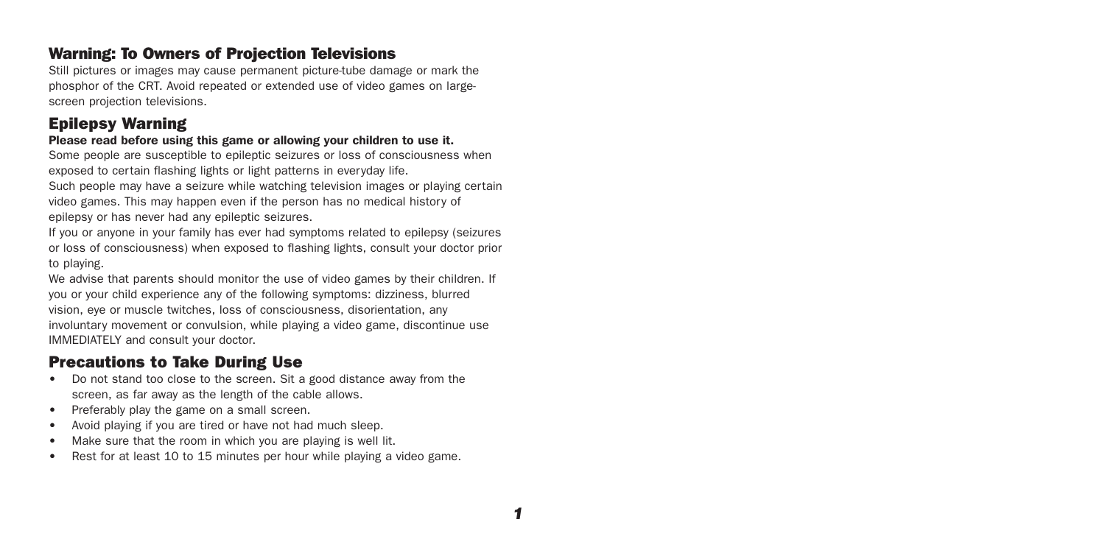## Warning: To Owners of Projection Televisions

Still pictures or images may cause permanent picture-tube damage or mark the phosphor of the CRT. Avoid repeated or extended use of video games on largescreen projection televisions.

## Epilepsy Warning

#### Please read before using this game or allowing your children to use it.

Some people are susceptible to epileptic seizures or loss of consciousness when exposed to certain flashing lights or light patterns in everyday life.

Such people may have a seizure while watching television images or playing certain video games. This may happen even if the person has no medical history of epilepsy or has never had any epileptic seizures.

If you or anyone in your family has ever had symptoms related to epilepsy (seizures or loss of consciousness) when exposed to flashing lights, consult your doctor prior to playing.

We advise that parents should monitor the use of video games by their children. If you or your child experience any of the following symptoms: dizziness, blurred vision, eye or muscle twitches, loss of consciousness, disorientation, any involuntary movement or convulsion, while playing a video game, discontinue use IMMEDIATELY and consult your doctor.

## Precautions to Take During Use

- Do not stand too close to the screen. Sit a good distance away from the screen, as far away as the length of the cable allows.
- Preferably play the game on a small screen.
- Avoid playing if you are tired or have not had much sleep.
- Make sure that the room in which you are playing is well lit.
- Rest for at least 10 to 15 minutes per hour while playing a video game.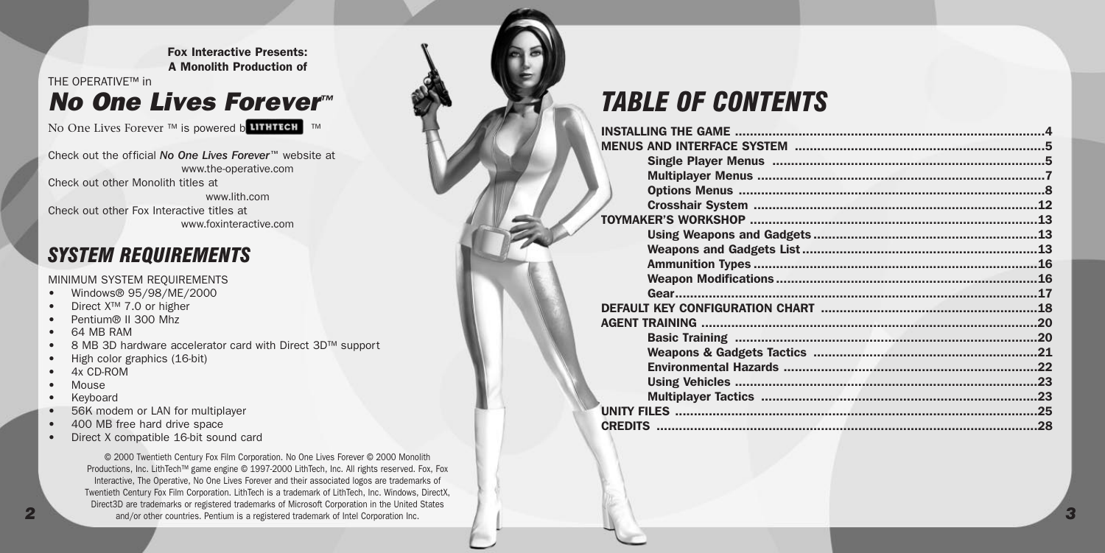Fox Interactive Presents: A Monolith Production of THE OPERATIVE™ in

## *No One Lives Forever™*

No One Lives Forever ™ is powered b**utHTECH** ™

Check out the official *No One Lives Forever™* website at www.the-operative.com Check out other Monolith titles at www.lith.com Check out other Fox Interactive titles at

www.foxinteractive.com

## *SYSTEM REQUIREMENTS*

#### MINIMUM SYSTEM REQUIREMENTS

- Windows® 95/98/ME/2000
- Direct X™ 7.0 or higher
- Pentium® II 300 Mhz
- 64 MB RAM
- 8 MB 3D hardware accelerator card with Direct 3D™ support
- High color graphics (16-bit)
- 4x CD-ROM
- Mouse
- Keyboard
- 56K modem or LAN for multiplayer
- 400 MB free hard drive space
- Direct X compatible 16-bit sound card

*2 3* and/or other countries. Pentium is a registered trademark of Intel Corporation Inc.© 2000 Twentieth Century Fox Film Corporation. No One Lives Forever © 2000 Monolith Productions, Inc. LithTech™ game engine © 1997-2000 LithTech, Inc. All rights reserved. Fox, Fox Interactive, The Operative, No One Lives Forever and their associated logos are trademarks of Twentieth Century Fox Film Corporation. LithTech is a trademark of LithTech, Inc. Windows, DirectX, Direct3D are trademarks or registered trademarks of Microsoft Corporation in the United States

## *TABLE OF CONTENTS*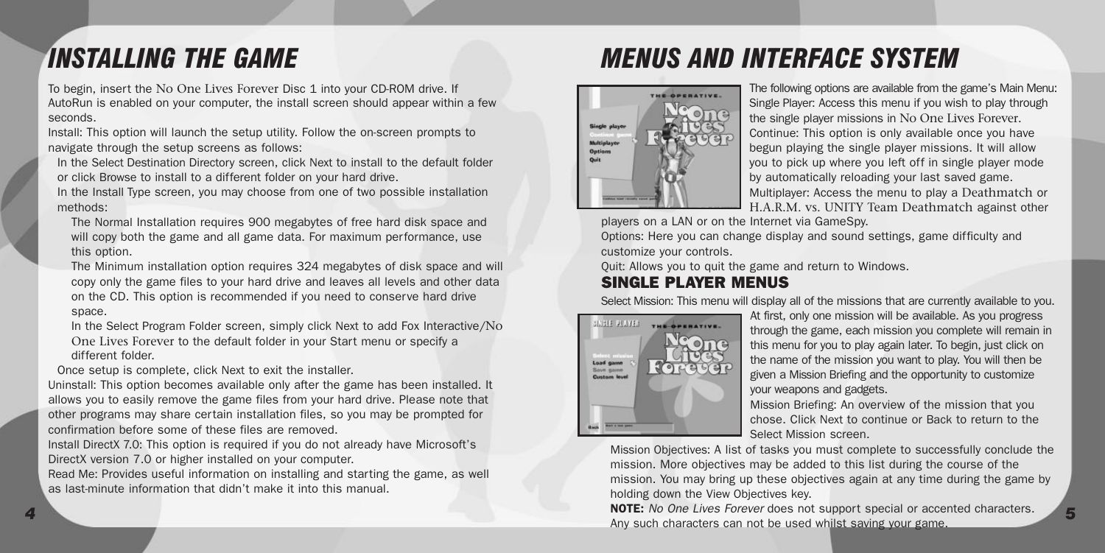## <span id="page-2-0"></span>*INSTALLING THE GAME*

To begin, insert the No One Lives Forever Disc 1 into your CD-ROM drive. If AutoRun is enabled on your computer, the install screen should appear within a few seconds.

Install: This option will launch the setup utility. Follow the on-screen prompts to navigate through the setup screens as follows:

In the Select Destination Directory screen, click Next to install to the default folder or click Browse to install to a different folder on your hard drive.

In the Install Type screen, you may choose from one of two possible installation methods:

The Normal Installation requires 900 megabytes of free hard disk space and will copy both the game and all game data. For maximum performance, use this option.

The Minimum installation option requires 324 megabytes of disk space and will copy only the game files to your hard drive and leaves all levels and other data on the CD. This option is recommended if you need to conserve hard drive space.

In the Select Program Folder screen, simply click Next to add Fox Interactive/No One Lives Forever to the default folder in your Start menu or specify a different folder.

Once setup is complete, click Next to exit the installer.

Uninstall: This option becomes available only after the game has been installed. It allows you to easily remove the game files from your hard drive. Please note that other programs may share certain installation files, so you may be prompted for confirmation before some of these files are removed.

Install DirectX 7.0: This option is required if you do not already have Microsoft's DirectX version 7.0 or higher installed on your computer.

Read Me: Provides useful information on installing and starting the game, as well as last-minute information that didn't make it into this manual.

## *MENUS AND INTERFACE SYSTEM*



The following options are available from the game's Main Menu: Single Player: Access this menu if you wish to play through the single player missions in No One Lives Forever. Continue: This option is only available once you have begun playing the single player missions. It will allow you to pick up where you left off in single player mode by automatically reloading your last saved game. Multiplayer: Access the menu to play a Deathmatch or H.A.R.M. vs. UNITY Team Deathmatch against other

players on a LAN or on the Internet via GameSpy.

Options: Here you can change display and sound settings, game difficulty and customize your controls.

Quit: Allows you to quit the game and return to Windows.

### SINGLE PLAYER MENUS

Select Mission: This menu will display all of the missions that are currently available to you.



At first, only one mission will be available. As you progress through the game, each mission you complete will remain in this menu for you to play again later. To begin, just click on the name of the mission you want to play. You will then be given a Mission Briefing and the opportunity to customize your weapons and gadgets.

Mission Briefing: An overview of the mission that you chose. Click Next to continue or Back to return to the Select Mission screen.

Mission Objectives: A list of tasks you must complete to successfully conclude the mission. More objectives may be added to this list during the course of the mission. You may bring up these objectives again at any time during the game by holding down the View Objectives key.

*4 5* NOTE: *No One Lives Forever* does not support special or accented characters. Any such characters can not be used whilst saving your game.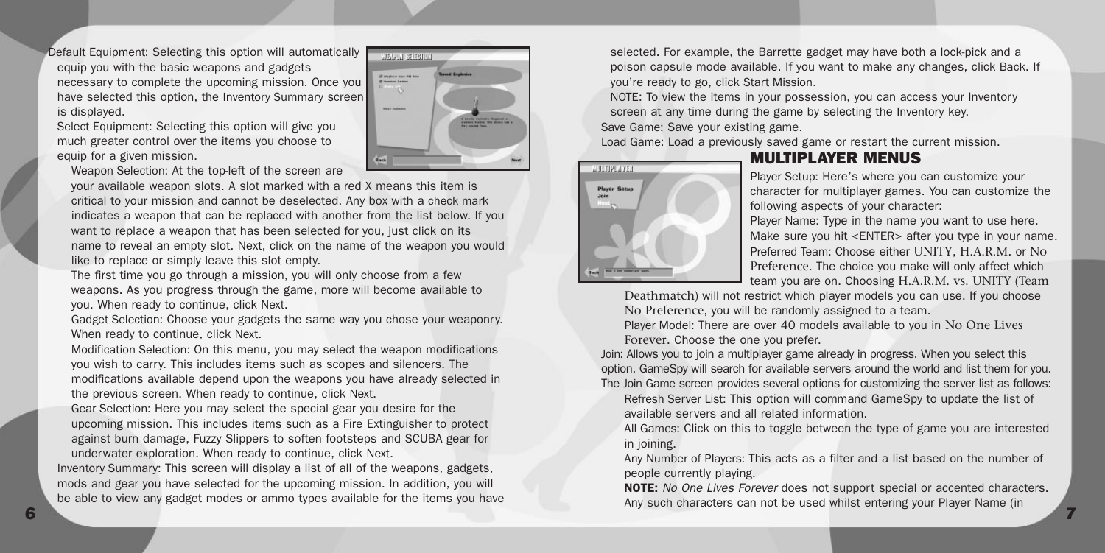<span id="page-3-0"></span>Default Equipment: Selecting this option will automatically equip you with the basic weapons and gadgets necessary to complete the upcoming mission. Once you have selected this option, the Inventory Summary screen is displayed.

Select Equipment: Selecting this option will give you much greater control over the items you choose to equip for a given mission.

Weapon Selection: At the top-left of the screen are

your available weapon slots. A slot marked with a red X means this item is critical to your mission and cannot be deselected. Any box with a check mark indicates a weapon that can be replaced with another from the list below. If you want to replace a weapon that has been selected for you, just click on its name to reveal an empty slot. Next, click on the name of the weapon you would like to replace or simply leave this slot empty.

**WEARIN SEECHIN** .<br>2 marca nu mn nu **TELES** 

The first time you go through a mission, you will only choose from a few weapons. As you progress through the game, more will become available to you. When ready to continue, click Next.

Gadget Selection: Choose your gadgets the same way you chose your weaponry. When ready to continue, click Next.

Modification Selection: On this menu, you may select the weapon modifications you wish to carry. This includes items such as scopes and silencers. The modifications available depend upon the weapons you have already selected in the previous screen. When ready to continue, click Next.

Gear Selection: Here you may select the special gear you desire for the upcoming mission. This includes items such as a Fire Extinguisher to protect against burn damage, Fuzzy Slippers to soften footsteps and SCUBA gear for underwater exploration. When ready to continue, click Next.

Inventory Summary: This screen will display a list of all of the weapons, gadgets, mods and gear you have selected for the upcoming mission. In addition, you will be able to view any gadget modes or ammo types available for the items you have

selected. For example, the Barrette gadget may have both a lock-pick and a poison capsule mode available. If you want to make any changes, click Back. If you're ready to go, click Start Mission.

NOTE: To view the items in your possession, you can access your Inventory screen at any time during the game by selecting the Inventory key. Save Game: Save your existing game.

Load Game: Load a previously saved game or restart the current mission.



#### MULTIPLAYER MENUS

Player Setup: Here's where you can customize your character for multiplayer games. You can customize the following aspects of your character:

Player Name: Type in the name you want to use here. Make sure you hit <ENTER> after you type in your name. Preferred Team: Choose either UNITY, H.A.R.M. or No Preference. The choice you make will only affect which team you are on. Choosing H.A.R.M. vs. UNITY (Team

Deathmatch) will not restrict which player models you can use. If you choose No Preference, you will be randomly assigned to a team.

Player Model: There are over 40 models available to you in No One Lives Forever. Choose the one you prefer.

Join: Allows you to join a multiplayer game already in progress. When you select this option, GameSpy will search for available servers around the world and list them for you. The Join Game screen provides several options for customizing the server list as follows:

Refresh Server List: This option will command GameSpy to update the list of available servers and all related information.

All Games: Click on this to toggle between the type of game you are interested in joining.

Any Number of Players: This acts as a filter and a list based on the number of people currently playing.

*6 7* NOTE: *No One Lives Forever* does not support special or accented characters. Any such characters can not be used whilst entering your Player Name (in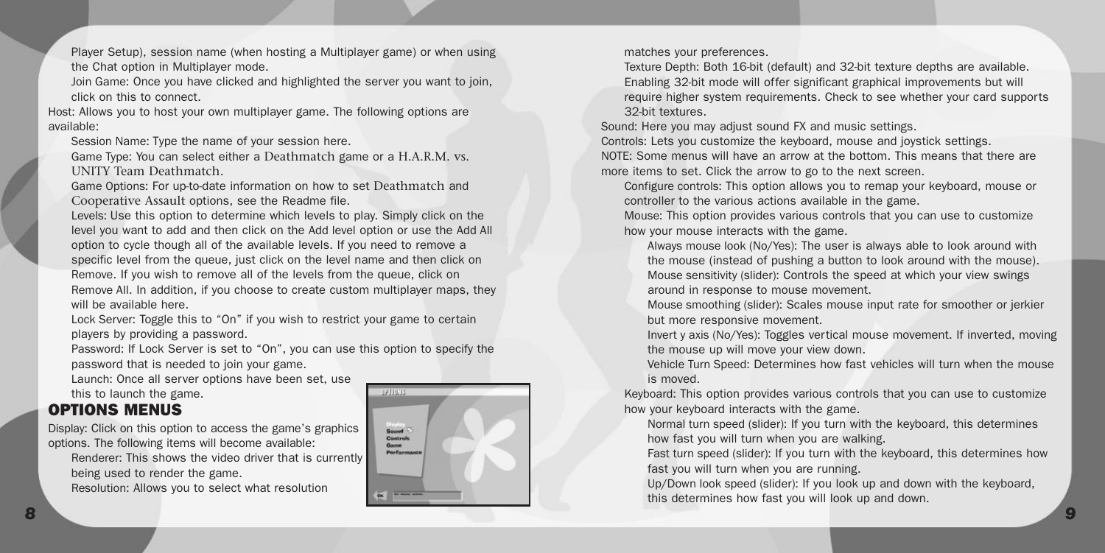<span id="page-4-0"></span>Player Setup), session name (when hosting a Multiplayer game) or when using the Chat option in Multiplayer mode.

Join Game: Once you have clicked and highlighted the server you want to join, click on this to connect.

Host: Allows you to host your own multiplayer game. The following options are available:

Session Name: Type the name of your session here.

Game Type: You can select either a Deathmatch game or a H.A.R.M. vs. UNITY Team Deathmatch.

Game Options: For up-to-date information on how to set Deathmatch and Cooperative Assault options, see the Readme file.

Levels: Use this option to determine which levels to play. Simply click on the level you want to add and then click on the Add level option or use the Add All option to cycle though all of the available levels. If you need to remove a specific level from the queue, just click on the level name and then click on Remove. If you wish to remove all of the levels from the queue, click on Remove All. In addition, if you choose to create custom multiplayer maps, they will be available here.

Lock Server: Toggle this to "On" if you wish to restrict your game to certain players by providing a password.

Password: If Lock Server is set to "On", you can use this option to specify the password that is needed to join your game.

Launch: Once all server options have been set, use this to launch the game.

## OPTIONS MENUS

Display: Click on this option to access the game's graphics options. The following items will become available:

Renderer: This shows the video driver that is currently being used to render the game.

Resolution: Allows you to select what resolution



matches your preferences.

Texture Depth: Both 16-bit (default) and 32-bit texture depths are available. Enabling 32-bit mode will offer significant graphical improvements but will require higher system requirements. Check to see whether your card supports 32-bit textures.

Sound: Here you may adjust sound FX and music settings.

Controls: Lets you customize the keyboard, mouse and joystick settings. NOTE: Some menus will have an arrow at the bottom. This means that there are more items to set. Click the arrow to go to the next screen.

Configure controls: This option allows you to remap your keyboard, mouse or controller to the various actions available in the game.

Mouse: This option provides various controls that you can use to customize how your mouse interacts with the game.

Always mouse look (No/Yes): The user is always able to look around with the mouse (instead of pushing a button to look around with the mouse). Mouse sensitivity (slider): Controls the speed at which your view swings around in response to mouse movement.

Mouse smoothing (slider): Scales mouse input rate for smoother or jerkier but more responsive movement.

Invert y axis (No/Yes): Toggles vertical mouse movement. If inverted, moving the mouse up will move your view down.

Vehicle Turn Speed: Determines how fast vehicles will turn when the mouse is moved.

Keyboard: This option provides various controls that you can use to customize how your keyboard interacts with the game.

Normal turn speed (slider): If you turn with the keyboard, this determines how fast you will turn when you are walking.

Fast turn speed (slider): If you turn with the keyboard, this determines how fast you will turn when you are running.

Up/Down look speed (slider): If you look up and down with the keyboard, this determines how fast you will look up and down.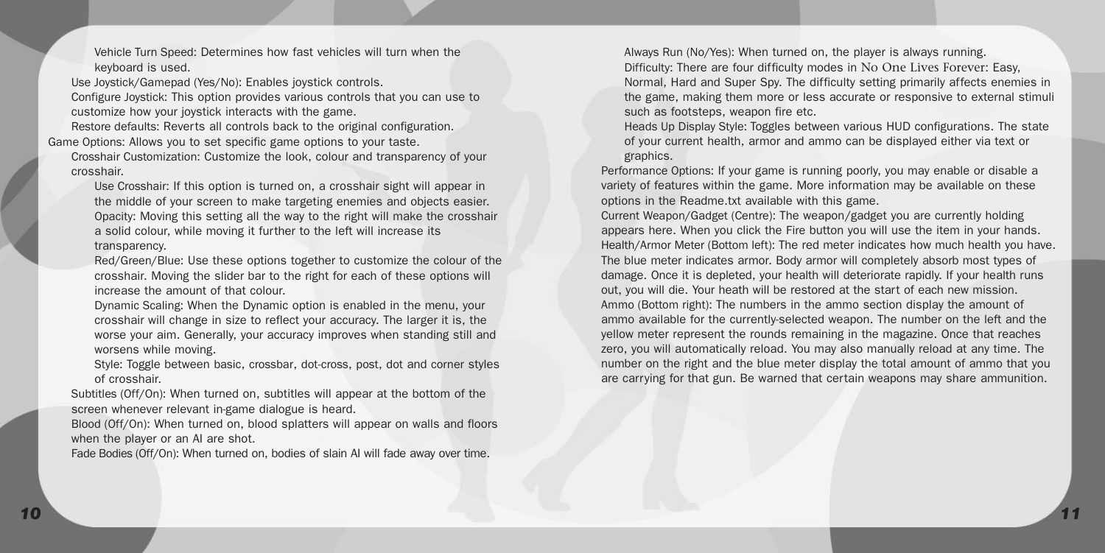Vehicle Turn Speed: Determines how fast vehicles will turn when the keyboard is used.

Use Joystick/Gamepad (Yes/No): Enables joystick controls.

Configure Joystick: This option provides various controls that you can use to customize how your joystick interacts with the game.

Restore defaults: Reverts all controls back to the original configuration. Game Options: Allows you to set specific game options to your taste.

Crosshair Customization: Customize the look, colour and transparency of your crosshair.

Use Crosshair: If this option is turned on, a crosshair sight will appear in the middle of your screen to make targeting enemies and objects easier. Opacity: Moving this setting all the way to the right will make the crosshair a solid colour, while moving it further to the left will increase its transparency.

Red/Green/Blue: Use these options together to customize the colour of the crosshair. Moving the slider bar to the right for each of these options will increase the amount of that colour.

Dynamic Scaling: When the Dynamic option is enabled in the menu, your crosshair will change in size to reflect your accuracy. The larger it is, the worse your aim. Generally, your accuracy improves when standing still and worsens while moving.

Style: Toggle between basic, crossbar, dot-cross, post, dot and corner styles of crosshair.

Subtitles (Off/On): When turned on, subtitles will appear at the bottom of the screen whenever relevant in-game dialogue is heard.

Blood (Off/On): When turned on, blood splatters will appear on walls and floors when the player or an AI are shot.

Fade Bodies (Off/On): When turned on, bodies of slain AI will fade away over time.

Always Run (No/Yes): When turned on, the player is always running. Difficulty: There are four difficulty modes in No One Lives Forever: Easy, Normal, Hard and Super Spy. The difficulty setting primarily affects enemies in the game, making them more or less accurate or responsive to external stimuli such as footsteps, weapon fire etc.

Heads Up Display Style: Toggles between various HUD configurations. The state of your current health, armor and ammo can be displayed either via text or graphics.

Performance Options: If your game is running poorly, you may enable or disable a variety of features within the game. More information may be available on these options in the Readme.txt available with this game.

Current Weapon/Gadget (Centre): The weapon/gadget you are currently holding appears here. When you click the Fire button you will use the item in your hands. Health/Armor Meter (Bottom left): The red meter indicates how much health you have. The blue meter indicates armor. Body armor will completely absorb most types of damage. Once it is depleted, your health will deteriorate rapidly. If your health runs out, you will die. Your heath will be restored at the start of each new mission. Ammo (Bottom right): The numbers in the ammo section display the amount of ammo available for the currently-selected weapon. The number on the left and the yellow meter represent the rounds remaining in the magazine. Once that reaches zero, you will automatically reload. You may also manually reload at any time. The number on the right and the blue meter display the total amount of ammo that you are carrying for that gun. Be warned that certain weapons may share ammunition.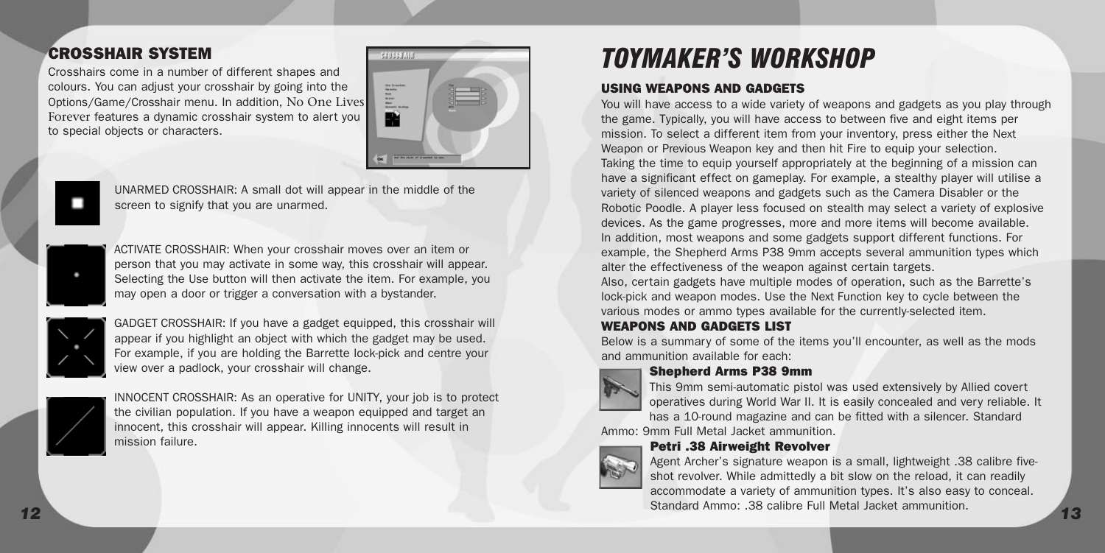### <span id="page-6-0"></span>CROSSHAIR SYSTEM

Crosshairs come in a number of different shapes and colours. You can adjust your crosshair by going into the Options/Game/Crosshair menu. In addition, No One Lives Forever features a dynamic crosshair system to alert you to special objects or characters.



UNARMED CROSSHAIR: A small dot will appear in the middle of the screen to signify that you are unarmed.



ACTIVATE CROSSHAIR: When your crosshair moves over an item or person that you may activate in some way, this crosshair will appear. Selecting the Use button will then activate the item. For example, you may open a door or trigger a conversation with a bystander.



GADGET CROSSHAIR: If you have a gadget equipped, this crosshair will appear if you highlight an object with which the gadget may be used. For example, if you are holding the Barrette lock-pick and centre your view over a padlock, your crosshair will change.



INNOCENT CROSSHAIR: As an operative for UNITY, your job is to protect the civilian population. If you have a weapon equipped and target an innocent, this crosshair will appear. Killing innocents will result in mission failure.

## *TOYMAKER'S WORKSHOP*

#### USING WEAPONS AND GADGETS

You will have access to a wide variety of weapons and gadgets as you play through the game. Typically, you will have access to between five and eight items per mission. To select a different item from your inventory, press either the Next Weapon or Previous Weapon key and then hit Fire to equip your selection. Taking the time to equip yourself appropriately at the beginning of a mission can have a significant effect on gameplay. For example, a stealthy player will utilise a variety of silenced weapons and gadgets such as the Camera Disabler or the Robotic Poodle. A player less focused on stealth may select a variety of explosive devices. As the game progresses, more and more items will become available. In addition, most weapons and some gadgets support different functions. For example, the Shepherd Arms P38 9mm accepts several ammunition types which alter the effectiveness of the weapon against certain targets.

Also, certain gadgets have multiple modes of operation, such as the Barrette's lock-pick and weapon modes. Use the Next Function key to cycle between the various modes or ammo types available for the currently-selected item.

#### WEAPONS AND GADGETS LIST

Below is a summary of some of the items you'll encounter, as well as the mods and ammunition available for each:



Shepherd Arms P38 9mm

This 9mm semi-automatic pistol was used extensively by Allied covert operatives during World War II. It is easily concealed and very reliable. It

has a 10-round magazine and can be fitted with a silencer. Standard Ammo: 9mm Full Metal Jacket ammunition.

#### Petri .38 Airweight Revolver



*12 13* Agent Archer's signature weapon is a small, lightweight .38 calibre fiveshot revolver. While admittedly a bit slow on the reload, it can readily accommodate a variety of ammunition types. It's also easy to conceal. Standard Ammo: .38 calibre Full Metal Jacket ammunition.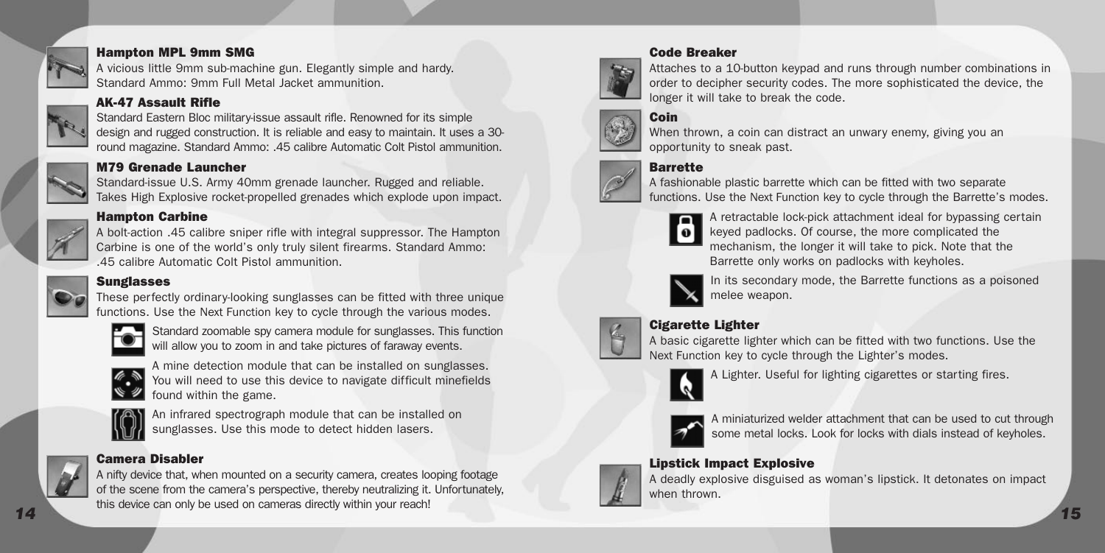

#### Hampton MPL 9mm SMG

A vicious little 9mm sub-machine gun. Elegantly simple and hardy. Standard Ammo: 9mm Full Metal Jacket ammunition.



#### AK-47 Assault Rifle

Standard Eastern Bloc military-issue assault rifle. Renowned for its simple design and rugged construction. It is reliable and easy to maintain. It uses a 30 round magazine. Standard Ammo: .45 calibre Automatic Colt Pistol ammunition.



#### M79 Grenade Launcher

Standard-issue U.S. Army 40mm grenade launcher. Rugged and reliable. Takes High Explosive rocket-propelled grenades which explode upon impact.



#### Hampton Carbine

A bolt-action .45 calibre sniper rifle with integral suppressor. The Hampton Carbine is one of the world's only truly silent firearms. Standard Ammo: .45 calibre Automatic Colt Pistol ammunition.

#### **Sunglasses**



These perfectly ordinary-looking sunglasses can be fitted with three unique functions. Use the Next Function key to cycle through the various modes.



Standard zoomable spy camera module for sunglasses. This function will allow you to zoom in and take pictures of faraway events.



A mine detection module that can be installed on sunglasses. You will need to use this device to navigate difficult minefields found within the game.



An infrared spectrograph module that can be installed on sunglasses. Use this mode to detect hidden lasers.

#### Camera Disabler



*14 15* A nifty device that, when mounted on a security camera, creates looping footage of the scene from the camera's perspective, thereby neutralizing it. Unfortunately, this device can only be used on cameras directly within your reach!





Attaches to a 10-button keypad and runs through number combinations in order to decipher security codes. The more sophisticated the device, the longer it will take to break the code.

### Coin



When thrown, a coin can distract an unwary enemy, giving you an opportunity to sneak past.

#### Barrette



functions. Use the Next Function key to cycle through the Barrette's modes. A retractable lock-pick attachment ideal for bypassing certain



keyed padlocks. Of course, the more complicated the mechanism, the longer it will take to pick. Note that the Barrette only works on padlocks with keyholes.



In its secondary mode, the Barrette functions as a poisoned melee weapon.



Cigarette Lighter A basic cigarette lighter which can be fitted with two functions. Use the

Next Function key to cycle through the Lighter's modes.



A Lighter. Useful for lighting cigarettes or starting fires.



A miniaturized welder attachment that can be used to cut through some metal locks. Look for locks with dials instead of keyholes.



#### Lipstick Impact Explosive

A deadly explosive disguised as woman's lipstick. It detonates on impact when thrown.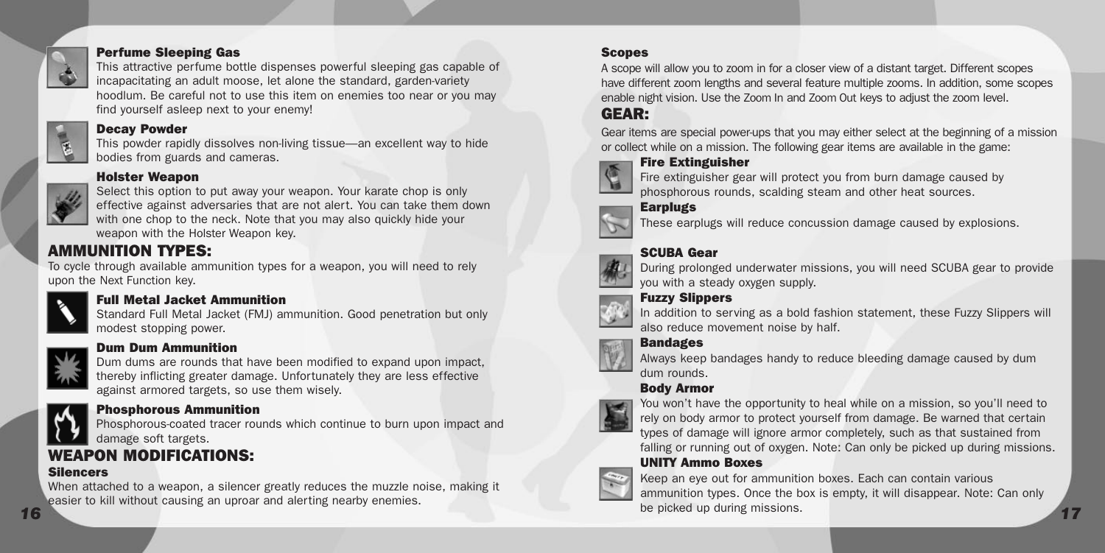<span id="page-8-0"></span>

#### Perfume Sleeping Gas

This attractive perfume bottle dispenses powerful sleeping gas capable of incapacitating an adult moose, let alone the standard, garden-variety hoodlum. Be careful not to use this item on enemies too near or you may find yourself asleep next to your enemy!

#### Decay Powder

This powder rapidly dissolves non-living tissue—an excellent way to hide bodies from guards and cameras.

### Holster Weapon



Select this option to put away your weapon. Your karate chop is only effective against adversaries that are not alert. You can take them down with one chop to the neck. Note that you may also quickly hide your weapon with the Holster Weapon key.

## AMMUNITION TYPES:

To cycle through available ammunition types for a weapon, you will need to rely upon the Next Function key.



#### Full Metal Jacket Ammunition

Standard Full Metal Jacket (FMJ) ammunition. Good penetration but only modest stopping power.



#### Dum Dum Ammunition

Dum dums are rounds that have been modified to expand upon impact, thereby inflicting greater damage. Unfortunately they are less effective against armored targets, so use them wisely.



#### Phosphorous Ammunition

Phosphorous-coated tracer rounds which continue to burn upon impact and damage soft targets.

## WEAPON MODIFICATIONS:

#### Silencers

When attached to a weapon, a silencer greatly reduces the muzzle noise, making it easier to kill without causing an uproar and alerting nearby enemies.

#### **Scopes**

A scope will allow you to zoom in for a closer view of a distant target. Different scopes have different zoom lengths and several feature multiple zooms. In addition, some scopes enable night vision. Use the Zoom In and Zoom Out keys to adjust the zoom level.

## GEAR:

Gear items are special power-ups that you may either select at the beginning of a mission or collect while on a mission. The following gear items are available in the game:



#### Fire Extinguisher



#### **Earplugs**

## These earplugs will reduce concussion damage caused by explosions.

#### SCUBA Gear



During prolonged underwater missions, you will need SCUBA gear to provide you with a steady oxygen supply.

#### Fuzzy Slippers



In addition to serving as a bold fashion statement, these Fuzzy Slippers will also reduce movement noise by half.

#### Bandages



Always keep bandages handy to reduce bleeding damage caused by dum dum rounds.

#### Body Armor



You won't have the opportunity to heal while on a mission, so you'll need to rely on body armor to protect yourself from damage. Be warned that certain types of damage will ignore armor completely, such as that sustained from falling or running out of oxygen. Note: Can only be picked up during missions.

### UNITY Ammo Boxes



*16 17* Keep an eye out for ammunition boxes. Each can contain various ammunition types. Once the box is empty, it will disappear. Note: Can only be picked up during missions.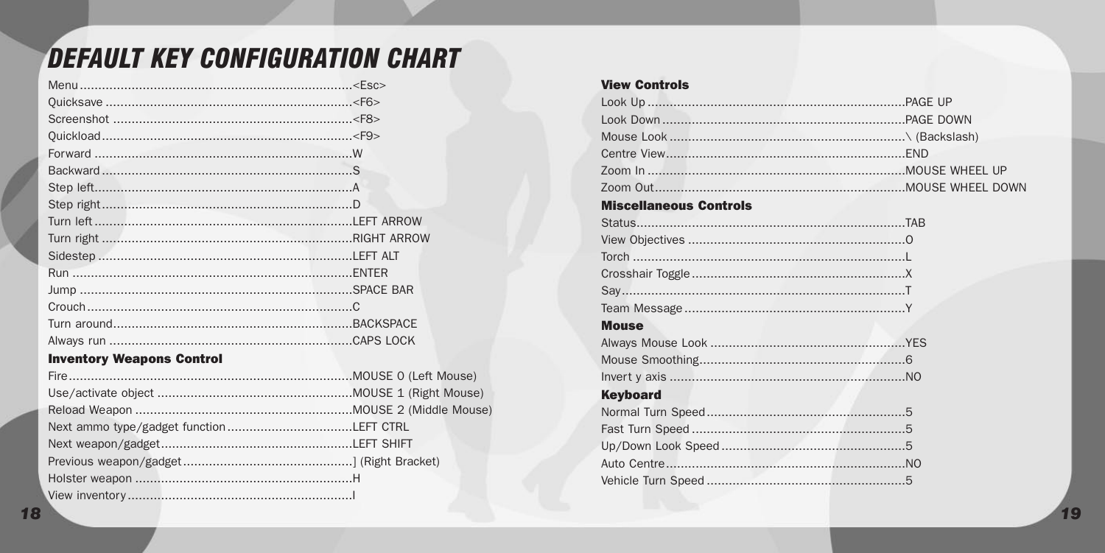# <span id="page-9-0"></span>**DEFAULT KEY CONFIGURATION CHART**

#### **Inventory Weapons Control**

#### **View Controls**

|  | <b>Miscellaneous Controls</b> |  |
|--|-------------------------------|--|
|  |                               |  |
|  |                               |  |
|  |                               |  |
|  |                               |  |
|  |                               |  |
|  |                               |  |
|  | <b>Mouse</b>                  |  |
|  |                               |  |
|  |                               |  |
|  |                               |  |
|  | <b>Keyboard</b>               |  |
|  |                               |  |
|  |                               |  |
|  |                               |  |
|  |                               |  |
|  |                               |  |
|  |                               |  |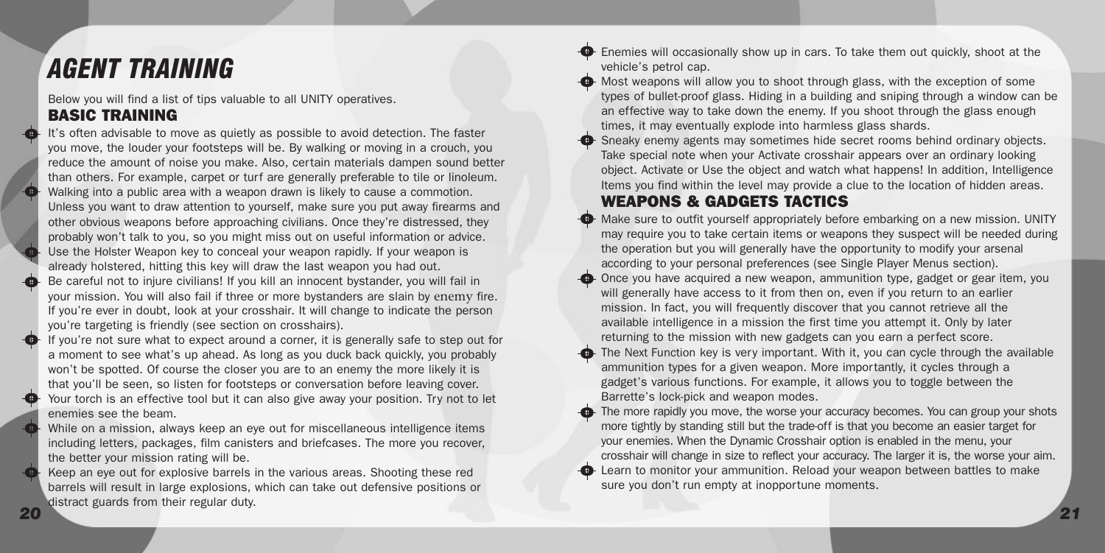## <span id="page-10-0"></span>*AGENT TRAINING*

Below you will find a list of tips valuable to all UNITY operatives. BASIC TRAINING

It's often advisable to move as quietly as possible to avoid detection. The faster you move, the louder your footsteps will be. By walking or moving in a crouch, you reduce the amount of noise you make. Also, certain materials dampen sound better than others. For example, carpet or turf are generally preferable to tile or linoleum. Walking into a public area with a weapon drawn is likely to cause a commotion. Unless you want to draw attention to yourself, make sure you put away firearms and other obvious weapons before approaching civilians. Once they're distressed, they probably won't talk to you, so you might miss out on useful information or advice. Use the Holster Weapon key to conceal your weapon rapidly. If your weapon is already holstered, hitting this key will draw the last weapon you had out. Be careful not to injure civilians! If you kill an innocent bystander, you will fail in your mission. You will also fail if three or more bystanders are slain by enemy fire. If you're ever in doubt, look at your crosshair. It will change to indicate the person you're targeting is friendly (see section on crosshairs).

If you're not sure what to expect around a corner, it is generally safe to step out for a moment to see what's up ahead. As long as you duck back quickly, you probably won't be spotted. Of course the closer you are to an enemy the more likely it is that you'll be seen, so listen for footsteps or conversation before leaving cover. Your torch is an effective tool but it can also give away your position. Try not to let enemies see the beam.

While on a mission, always keep an eye out for miscellaneous intelligence items including letters, packages, film canisters and briefcases. The more you recover, the better your mission rating will be.

*20 21* Keep an eye out for explosive barrels in the various areas. Shooting these red barrels will result in large explosions, which can take out defensive positions or distract guards from their regular duty.

Enemies will occasionally show up in cars. To take them out quickly, shoot at the vehicle's petrol cap.

 $\bigoplus$  Most weapons will allow you to shoot through glass, with the exception of some types of bullet-proof glass. Hiding in a building and sniping through a window can be an effective way to take down the enemy. If you shoot through the glass enough times, it may eventually explode into harmless glass shards.

Sneaky enemy agents may sometimes hide secret rooms behind ordinary objects. Take special note when your Activate crosshair appears over an ordinary looking object. Activate or Use the object and watch what happens! In addition, Intelligence Items you find within the level may provide a clue to the location of hidden areas.

### WEAPONS & GADGETS TACTICS

- Make sure to outfit yourself appropriately before embarking on a new mission. UNITY may require you to take certain items or weapons they suspect will be needed during the operation but you will generally have the opportunity to modify your arsenal according to your personal preferences (see Single Player Menus section).
- Once you have acquired a new weapon, ammunition type, gadget or gear item, you will generally have access to it from then on, even if you return to an earlier mission. In fact, you will frequently discover that you cannot retrieve all the available intelligence in a mission the first time you attempt it. Only by later returning to the mission with new gadgets can you earn a perfect score.
	- The Next Function key is very important. With it, you can cycle through the available ammunition types for a given weapon. More importantly, it cycles through a gadget's various functions. For example, it allows you to toggle between the Barrette's lock-pick and weapon modes.
- The more rapidly you move, the worse your accuracy becomes. You can group your shots more tightly by standing still but the trade-off is that you become an easier target for your enemies. When the Dynamic Crosshair option is enabled in the menu, your crosshair will change in size to reflect your accuracy. The larger it is, the worse your aim. Learn to monitor your ammunition. Reload your weapon between battles to make sure you don't run empty at inopportune moments.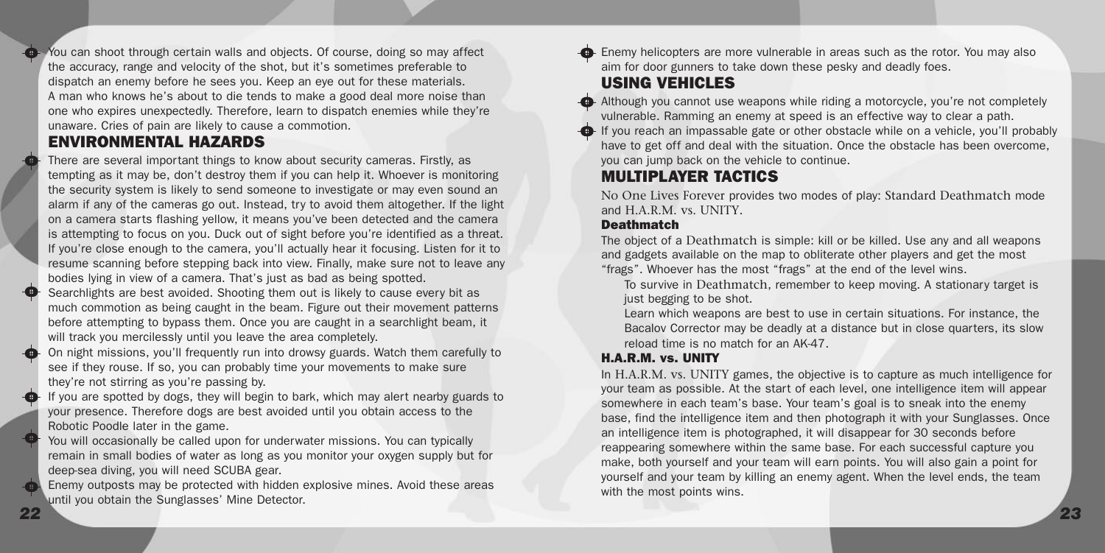<span id="page-11-0"></span>You can shoot through certain walls and objects. Of course, doing so may affect the accuracy, range and velocity of the shot, but it's sometimes preferable to dispatch an enemy before he sees you. Keep an eye out for these materials. A man who knows he's about to die tends to make a good deal more noise than one who expires unexpectedly. Therefore, learn to dispatch enemies while they're unaware. Cries of pain are likely to cause a commotion.

### ENVIRONMENTAL HAZARDS

There are several important things to know about security cameras. Firstly, as tempting as it may be, don't destroy them if you can help it. Whoever is monitoring the security system is likely to send someone to investigate or may even sound an alarm if any of the cameras go out. Instead, try to avoid them altogether. If the light on a camera starts flashing yellow, it means you've been detected and the camera is attempting to focus on you. Duck out of sight before you're identified as a threat. If you're close enough to the camera, you'll actually hear it focusing. Listen for it to resume scanning before stepping back into view. Finally, make sure not to leave any bodies lying in view of a camera. That's just as bad as being spotted.

Searchlights are best avoided. Shooting them out is likely to cause every bit as much commotion as being caught in the beam. Figure out their movement patterns before attempting to bypass them. Once you are caught in a searchlight beam, it will track you mercilessly until you leave the area completely.

On night missions, you'll frequently run into drowsy guards. Watch them carefully to see if they rouse. If so, you can probably time your movements to make sure they're not stirring as you're passing by.

If you are spotted by dogs, they will begin to bark, which may alert nearby guards to your presence. Therefore dogs are best avoided until you obtain access to the Robotic Poodle later in the game.

You will occasionally be called upon for underwater missions. You can typically remain in small bodies of water as long as you monitor your oxygen supply but for deep-sea diving, you will need SCUBA gear.

Enemy outposts may be protected with hidden explosive mines. Avoid these areas until you obtain the Sunglasses' Mine Detector.

Enemy helicopters are more vulnerable in areas such as the rotor. You may also aim for door gunners to take down these pesky and deadly foes.

### USING VEHICLES

Although you cannot use weapons while riding a motorcycle, you're not completely vulnerable. Ramming an enemy at speed is an effective way to clear a path.  $\bigoplus$  If you reach an impassable gate or other obstacle while on a vehicle, you'll probably have to get off and deal with the situation. Once the obstacle has been overcome, you can jump back on the vehicle to continue.

### MULTIPLAYER TACTICS

No One Lives Forever provides two modes of play: Standard Deathmatch mode and H.A.R.M. vs. UNITY.

#### **Deathmatch**

The object of a Deathmatch is simple: kill or be killed. Use any and all weapons and gadgets available on the map to obliterate other players and get the most "frags". Whoever has the most "frags" at the end of the level wins.

To survive in Deathmatch, remember to keep moving. A stationary target is just begging to be shot.

Learn which weapons are best to use in certain situations. For instance, the Bacalov Corrector may be deadly at a distance but in close quarters, its slow reload time is no match for an AK-47.

#### H.A.R.M. vs. UNITY

In H.A.R.M. vs. UNITY games, the objective is to capture as much intelligence for your team as possible. At the start of each level, one intelligence item will appear somewhere in each team's base. Your team's goal is to sneak into the enemy base, find the intelligence item and then photograph it with your Sunglasses. Once an intelligence item is photographed, it will disappear for 30 seconds before reappearing somewhere within the same base. For each successful capture you make, both yourself and your team will earn points. You will also gain a point for yourself and your team by killing an enemy agent. When the level ends, the team with the most points wins.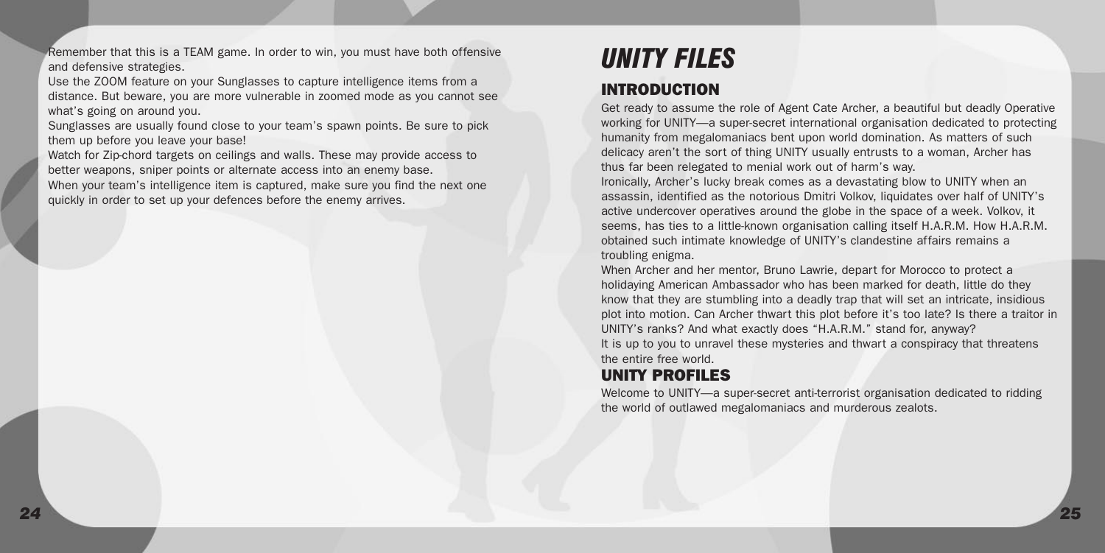<span id="page-12-0"></span>Remember that this is a TEAM game. In order to win, you must have both offensive and defensive strategies.

Use the ZOOM feature on your Sunglasses to capture intelligence items from a distance. But beware, you are more vulnerable in zoomed mode as you cannot see what's going on around you.

Sunglasses are usually found close to your team's spawn points. Be sure to pick them up before you leave your base!

Watch for Zip-chord targets on ceilings and walls. These may provide access to better weapons, sniper points or alternate access into an enemy base. When your team's intelligence item is captured, make sure you find the next one quickly in order to set up your defences before the enemy arrives.

# *UNITY FILES*

### INTRODUCTION

Get ready to assume the role of Agent Cate Archer, a beautiful but deadly Operative working for UNITY—a super-secret international organisation dedicated to protecting humanity from megalomaniacs bent upon world domination. As matters of such delicacy aren't the sort of thing UNITY usually entrusts to a woman, Archer has thus far been relegated to menial work out of harm's way.

Ironically, Archer's lucky break comes as a devastating blow to UNITY when an assassin, identified as the notorious Dmitri Volkov, liquidates over half of UNITY's active undercover operatives around the globe in the space of a week. Volkov, it seems, has ties to a little-known organisation calling itself H.A.R.M. How H.A.R.M. obtained such intimate knowledge of UNITY's clandestine affairs remains a troubling enigma.

When Archer and her mentor, Bruno Lawrie, depart for Morocco to protect a holidaying American Ambassador who has been marked for death, little do they know that they are stumbling into a deadly trap that will set an intricate, insidious plot into motion. Can Archer thwart this plot before it's too late? Is there a traitor in UNITY's ranks? And what exactly does "H.A.R.M." stand for, anyway? It is up to you to unravel these mysteries and thwart a conspiracy that threatens the entire free world.

## UNITY PROFILES

Welcome to UNITY—a super-secret anti-terrorist organisation dedicated to ridding the world of outlawed megalomaniacs and murderous zealots.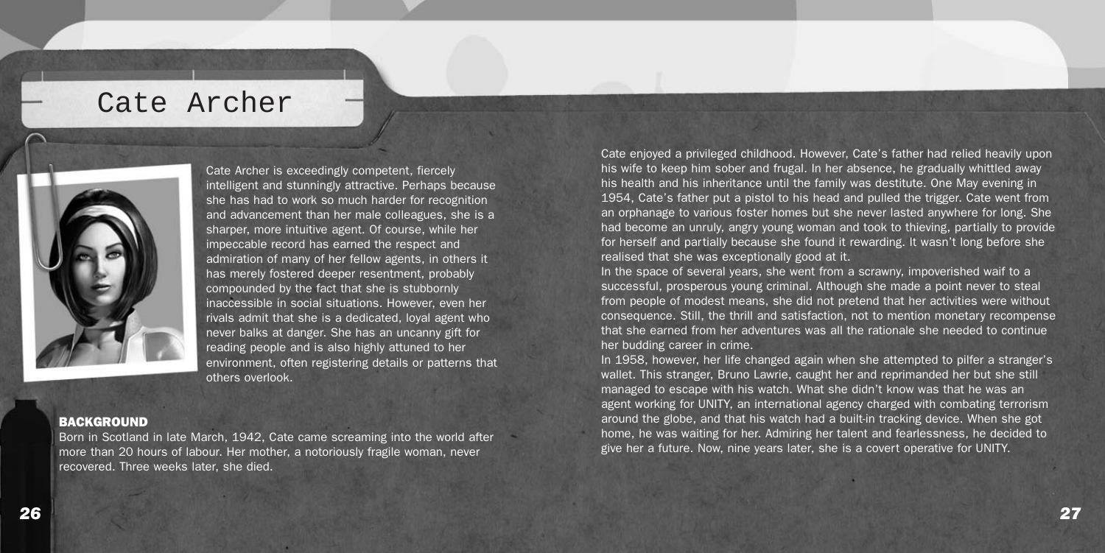## Cate Archer



Cate Archer is exceedingly competent, fiercely intelligent and stunningly attractive. Perhaps because she has had to work so much harder for recognition and advancement than her male colleagues, she is a sharper, more intuitive agent. Of course, while her impeccable record has earned the respect and admiration of many of her fellow agents, in others it has merely fostered deeper resentment, probably compounded by the fact that she is stubbornly inaccessible in social situations. However, even her rivals admit that she is a dedicated, loyal agent who never balks at danger. She has an uncanny gift for reading people and is also highly attuned to her environment, often registering details or patterns that others overlook.

#### **BACKGROUND**

Born in Scotland in late March, 1942, Cate came screaming into the world after more than 20 hours of labour. Her mother, a notoriously fragile woman, never recovered. Three weeks later, she died.

Cate enjoyed a privileged childhood. However, Cate's father had relied heavily upon his wife to keep him sober and frugal. In her absence, he gradually whittled away his health and his inheritance until the family was destitute. One May evening in 1954, Cate's father put a pistol to his head and pulled the trigger. Cate went from an orphanage to various foster homes but she never lasted anywhere for long. She had become an unruly, angry young woman and took to thieving, partially to provide for herself and partially because she found it rewarding. It wasn't long before she realised that she was exceptionally good at it.

In the space of several years, she went from a scrawny, impoverished waif to a successful, prosperous young criminal. Although she made a point never to steal from people of modest means, she did not pretend that her activities were without consequence. Still, the thrill and satisfaction, not to mention monetary recompense that she earned from her adventures was all the rationale she needed to continue her budding career in crime.

In 1958, however, her life changed again when she attempted to pilfer a stranger's wallet. This stranger, Bruno Lawrie, caught her and reprimanded her but she still managed to escape with his watch. What she didn't know was that he was an agent working for UNITY, an international agency charged with combating terrorism around the globe, and that his watch had a built-in tracking device. When she got home, he was waiting for her. Admiring her talent and fearlessness, he decided to give her a future. Now, nine years later, she is a covert operative for UNITY.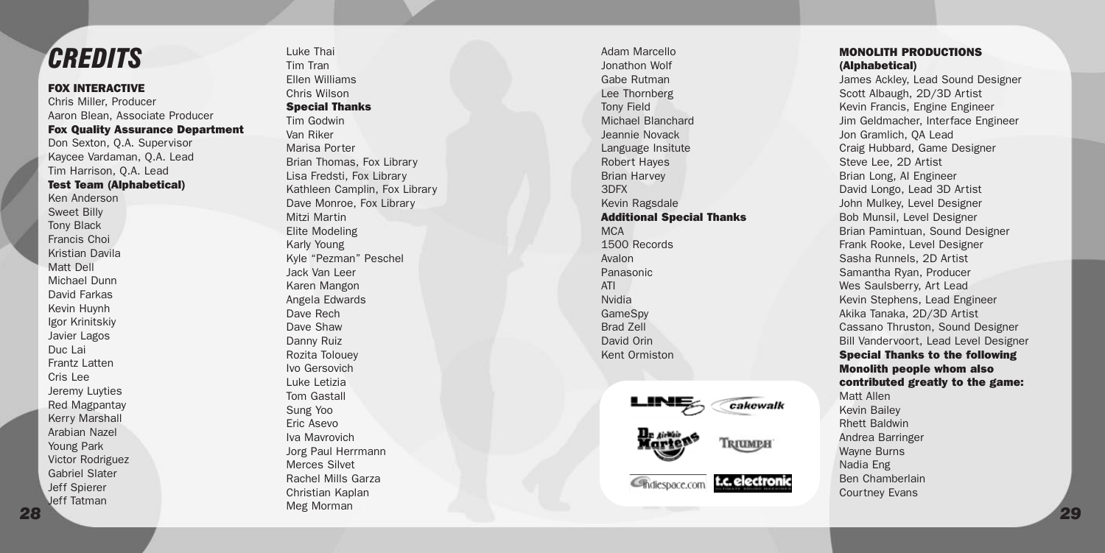## <span id="page-14-0"></span>*CREDITS*

#### FOX INTERACTIVE

Chris Miller, Producer Aaron Blean, Associate Producer Fox Quality Assurance Department Don Sexton, Q.A. Supervisor Kaycee Vardaman, Q.A. Lead Tim Harrison, Q.A. Lead Test Team (Alphabetical) Ken Anderson Sweet Billy Tony Black Francis Choi Kristian Davila Matt Dell Michael Dunn David Farkas Kevin Huynh Igor Krinitskiy Javier Lagos Duc Lai Frantz Latten Cris Lee Jeremy Luyties Red Magpantay Kerry Marshall<br>Arahian Nazel Young Park Victor Rodriguez Gabriel Slater Jeff Spierer Jeff Tatman

Luke Thai Tim Tran Ellen Williams Chris Wilson Special Thanks Tim Godwin Van Riker Marisa Porter Brian Thomas, Fox Library Lisa Fredsti, Fox Library Kathleen Camplin, Fox Library Dave Monroe, Fox Library Mitzi Martin Elite Modeling Karly Young Kyle "Pezman" Peschel Jack Van Leer Karen Mangon Angela Edwards Dave Rech Dave Shaw Danny Ruiz Rozita Tolouey Ivo Gersovich Luke Letizia Tom Gastall Sung Yoo Eric Asevo Iva Mavrovich Jorg Paul Herrmann Merces Silvet Rachel Mills Garza Christian Kaplan Meg Morman

Adam Marcello Jonathon Wolf Gabe Rutman Lee Thornberg Tony Field Michael Blanchard Jeannie Novack Language Insitute Robert Hayes Brian Harvey 3DFX Kevin Ragsdale Additional Special Thanks M<sub>C</sub>A 1500 Records Avalon Panasonic ATI Nvidia GameSpy Brad Zell David Orin Kent Ormiston

Chdiespace.com

cakewalk

Triumeh

t.c. electron



James Ackley, Lead Sound Designer Scott Albaugh, 2D/3D Artist Kevin Francis, Engine Engineer Jim Geldmacher, Interface Engineer Jon Gramlich, QA Lead Craig Hubbard, Game Designer Steve Lee, 2D Artist Brian Long, AI Engineer David Longo, Lead 3D Artist John Mulkey, Level Designer Bob Munsil, Level Designer Brian Pamintuan, Sound Designer Frank Rooke, Level Designer Sasha Runnels, 2D Artist Samantha Ryan, Producer Wes Saulsberry, Art Lead Kevin Stephens, Lead Engineer Akika Tanaka, 2D/3D Artist Cassano Thruston, Sound Designer Bill Vandervoort, Lead Level Designer Special Thanks to the following Monolith people whom also contributed greatly to the game: Matt Allen Kevin Bailey Rhett Baldwin Andrea Barringer Wayne Burns Nadia Eng Ben Chamberlain Courtney Evans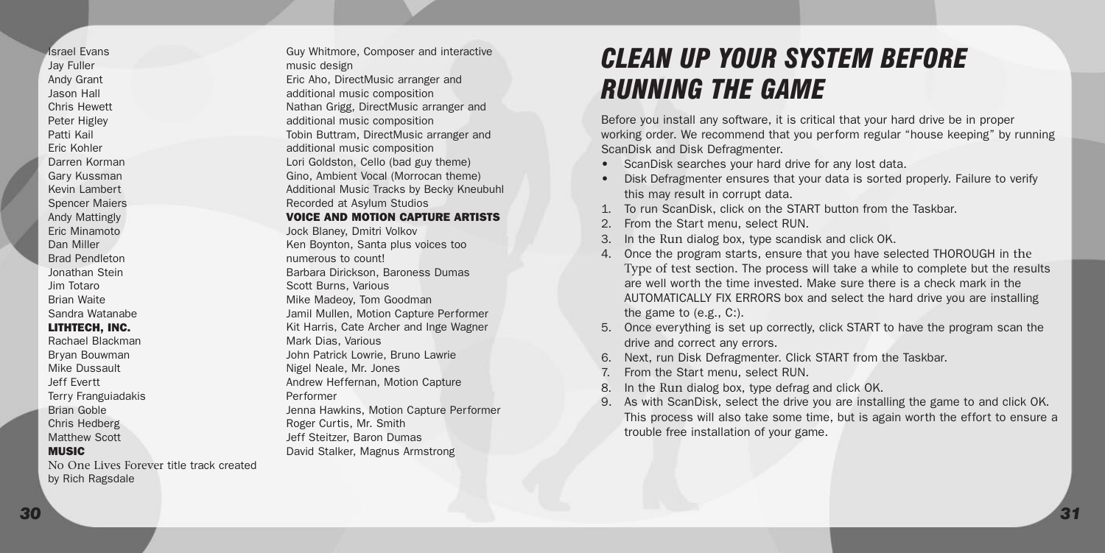Israel Evans Jay Fuller Andy Grant Jason Hall Chris Hewett Peter Higley Patti Kail Eric Kohler Darren Korman Gary Kussman Kevin Lambert Spencer Maiers Andy Mattingly Eric Minamoto Dan Miller Brad Pendleton Jonathan Stein Jim Totaro Brian Waite Sandra Watanabe LITHTECH, INC. Rachael Blackman Bryan Bouwman Mike Dussault Jeff Evertt Terry Franguiadakis Brian Goble Chris Hedberg Matthew Scott MUSIC

No One Lives Forever title track created by Rich Ragsdale

Guy Whitmore, Composer and interactive music design Eric Aho, DirectMusic arranger and additional music composition Nathan Grigg, DirectMusic arranger and additional music composition Tobin Buttram, DirectMusic arranger and additional music composition Lori Goldston, Cello (bad guy theme) Gino, Ambient Vocal (Morrocan theme) Additional Music Tracks by Becky Kneubuhl Recorded at Asylum Studios VOICE AND MOTION CAPTURE ARTISTS Jock Blaney, Dmitri Volkov Ken Boynton, Santa plus voices too numerous to count! Barbara Dirickson, Baroness Dumas Scott Burns, Various Mike Madeoy, Tom Goodman Jamil Mullen, Motion Capture Performer Kit Harris, Cate Archer and Inge Wagner Mark Dias, Various John Patrick Lowrie, Bruno Lawrie Nigel Neale, Mr. Jones Andrew Heffernan, Motion Capture Performer Jenna Hawkins, Motion Capture Performer Roger Curtis, Mr. Smith Jeff Steitzer, Baron Dumas David Stalker, Magnus Armstrong

# *CLEAN UP YOUR SYSTEM BEFORE RUNNING THE GAME*

Before you install any software, it is critical that your hard drive be in proper working order. We recommend that you perform regular "house keeping" by running ScanDisk and Disk Defragmenter.

- ScanDisk searches your hard drive for any lost data.
- Disk Defragmenter ensures that your data is sorted properly. Failure to verify this may result in corrupt data.
- 1. To run ScanDisk, click on the START button from the Taskbar.
- From the Start menu, select RUN.
- 3. In the Run dialog box, type scandisk and click OK.
- 4. Once the program starts, ensure that you have selected THOROUGH in the Type of test section. The process will take a while to complete but the results are well worth the time invested. Make sure there is a check mark in the AUTOMATICALLY FIX ERRORS box and select the hard drive you are installing the game to (e.g., C:).
- 5. Once everything is set up correctly, click START to have the program scan the drive and correct any errors.
- 6. Next, run Disk Defragmenter. Click START from the Taskbar.
- 7. From the Start menu, select RUN.
- 8. In the Run dialog box, type defrag and click OK.
- 9. As with ScanDisk, select the drive you are installing the game to and click OK. This process will also take some time, but is again worth the effort to ensure a trouble free installation of your game.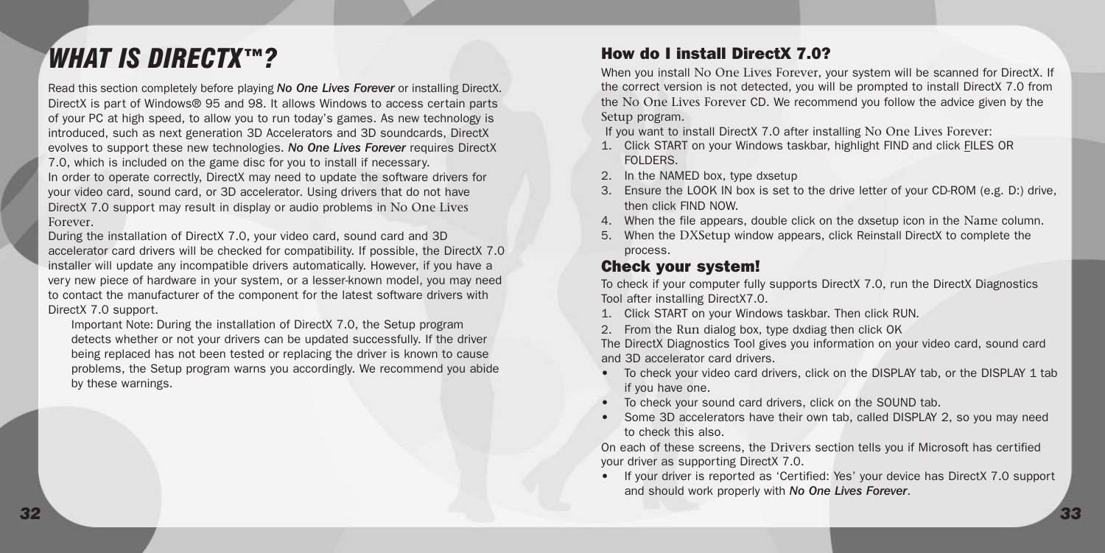## *WHAT IS DIRECTX™?*

Read this section completely before playing *No One Lives Forever* or installing DirectX. DirectX is part of Windows® 95 and 98. It allows Windows to access certain parts of your PC at high speed, to allow you to run today's games. As new technology is introduced, such as next generation 3D Accelerators and 3D soundcards, DirectX evolves to support these new technologies. *No One Lives Forever* requires DirectX 7.0, which is included on the game disc for you to install if necessary. In order to operate correctly, DirectX may need to update the software drivers for your video card, sound card, or 3D accelerator. Using drivers that do not have DirectX 7.0 support may result in display or audio problems in No One Lives Forever.

During the installation of DirectX 7.0, your video card, sound card and 3D accelerator card drivers will be checked for compatibility. If possible, the DirectX 7.0 installer will update any incompatible drivers automatically. However, if you have a very new piece of hardware in your system, or a lesser-known model, you may need to contact the manufacturer of the component for the latest software drivers with DirectX 7.0 support.

Important Note: During the installation of DirectX 7.0, the Setup program detects whether or not your drivers can be updated successfully. If the driver being replaced has not been tested or replacing the driver is known to cause problems, the Setup program warns you accordingly. We recommend you abide by these warnings.

### How do I install DirectX 7.0?

When you install No One Lives Forever, your system will be scanned for DirectX. If the correct version is not detected, you will be prompted to install DirectX 7.0 from the No One Lives Forever CD. We recommend you follow the advice given by the Setup program.

If you want to install DirectX 7.0 after installing No One Lives Forever:

- 1. Click START on your Windows taskbar, highlight FIND and click FILES OR FOLDERS.
- 2. In the NAMED box, type dxsetup
- 3. Ensure the LOOK IN box is set to the drive letter of your CD-ROM (e.g. D:) drive, then click FIND NOW.
- 4. When the file appears, double click on the dxsetup icon in the Name column.
- 5. When the DXSetup window appears, click Reinstall DirectX to complete the process.

### Check your system!

To check if your computer fully supports DirectX 7.0, run the DirectX Diagnostics Tool after installing DirectX7.0.

- 1. Click START on your Windows taskbar. Then click RUN.
- 2. From the Run dialog box, type dxdiag then click OK

The DirectX Diagnostics Tool gives you information on your video card, sound card and 3D accelerator card drivers.

- To check your video card drivers, click on the DISPLAY tab, or the DISPLAY 1 tab if you have one.
- To check your sound card drivers, click on the SOUND tab.
- Some 3D accelerators have their own tab, called DISPLAY 2, so you may need to check this also.

On each of these screens, the Drivers section tells you if Microsoft has certified your driver as supporting DirectX 7.0.

• If your driver is reported as 'Certified: Yes' your device has DirectX 7.0 support and should work properly with *No One Lives Forever*.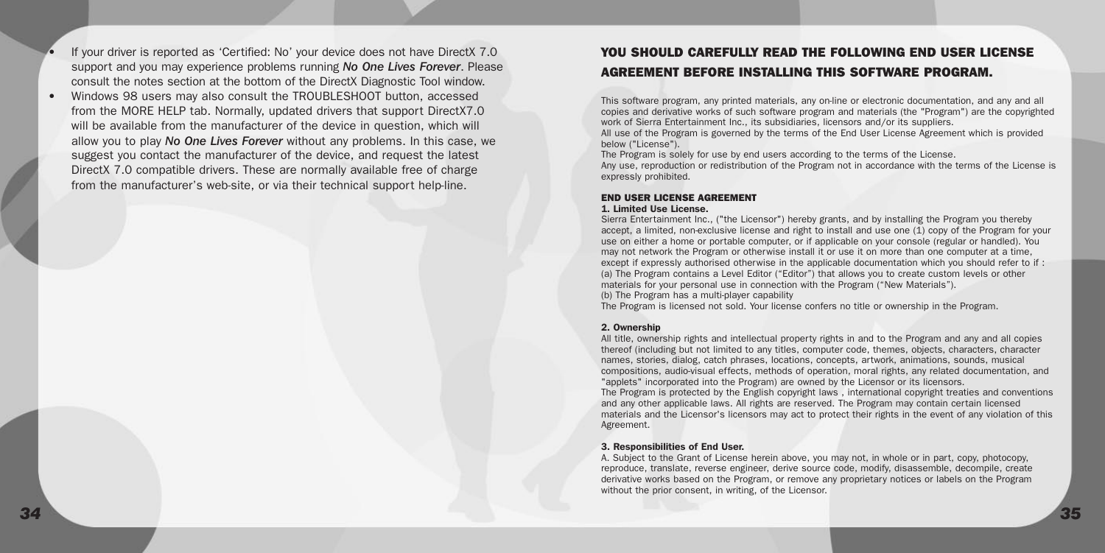- If your driver is reported as 'Certified: No' your device does not have DirectX 7.0 support and you may experience problems running *No One Lives Forever*. Please consult the notes section at the bottom of the DirectX Diagnostic Tool window.
- Windows 98 users may also consult the TROUBLESHOOT button, accessed from the MORE HELP tab. Normally, updated drivers that support DirectX7.0 will be available from the manufacturer of the device in question, which will allow you to play *No One Lives Forever* without any problems. In this case, we suggest you contact the manufacturer of the device, and request the latest DirectX 7.0 compatible drivers. These are normally available free of charge from the manufacturer's web-site, or via their technical support help-line.

#### YOU SHOULD CAREFULLY READ THE FOLLOWING END USER LICENSE AGREEMENT BEFORE INSTALLING THIS SOFTWARE PROGRAM.

This software program, any printed materials, any on-line or electronic documentation, and any and all copies and derivative works of such software program and materials (the "Program") are the copyrighted work of Sierra Entertainment Inc., its subsidiaries, licensors and/or its suppliers.

All use of the Program is governed by the terms of the End User License Agreement which is provided below ("License").

The Program is solely for use by end users according to the terms of the License.

Any use, reproduction or redistribution of the Program not in accordance with the terms of the License is expressly prohibited.

#### END USER LICENSE AGREEMENT 1. Limited Use License.

Sierra Entertainment Inc., ("the Licensor") hereby grants, and by installing the Program you thereby accept, a limited, non-exclusive license and right to install and use one (1) copy of the Program for your use on either a home or portable computer, or if applicable on your console (regular or handled). You may not network the Program or otherwise install it or use it on more than one computer at a time, except if expressly authorised otherwise in the applicable documentation which you should refer to if : (a) The Program contains a Level Editor ("Editor") that allows you to create custom levels or other materials for your personal use in connection with the Program ("New Materials"). (b) The Program has a multi-player capability

The Program is licensed not sold. Your license confers no title or ownership in the Program.

#### 2. Ownership

All title, ownership rights and intellectual property rights in and to the Program and any and all copies thereof (including but not limited to any titles, computer code, themes, objects, characters, character names, stories, dialog, catch phrases, locations, concepts, artwork, animations, sounds, musical compositions, audio-visual effects, methods of operation, moral rights, any related documentation, and "applets" incorporated into the Program) are owned by the Licensor or its licensors.

The Program is protected by the English copyright laws , international copyright treaties and conventions and any other applicable laws. All rights are reserved. The Program may contain certain licensed materials and the Licensor's licensors may act to protect their rights in the event of any violation of this Agreement.

#### 3. Responsibilities of End User.

A. Subject to the Grant of License herein above, you may not, in whole or in part, copy, photocopy, reproduce, translate, reverse engineer, derive source code, modify, disassemble, decompile, create derivative works based on the Program, or remove any proprietary notices or labels on the Program without the prior consent, in writing, of the Licensor.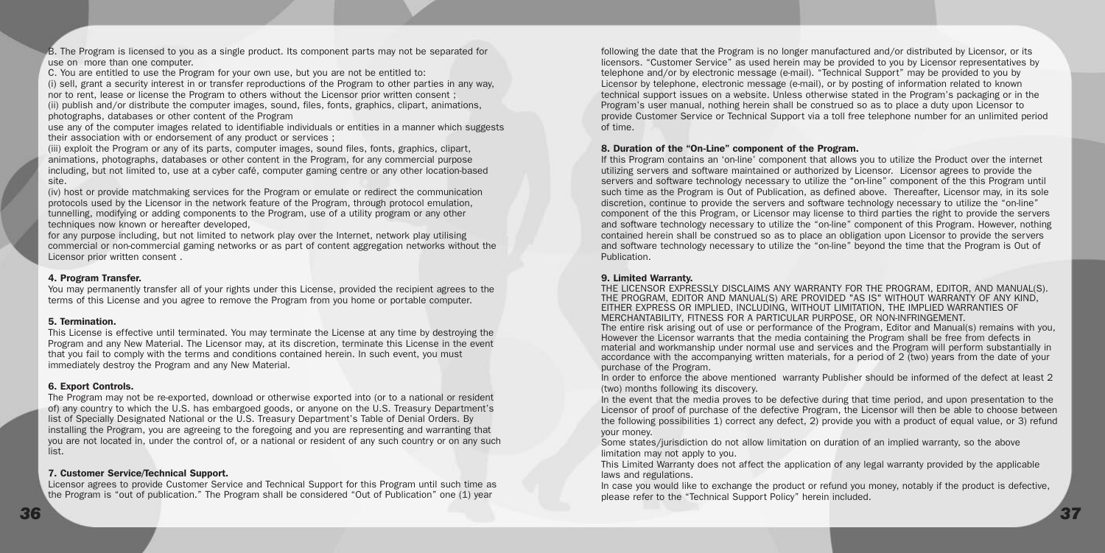B. The Program is licensed to you as a single product. Its component parts may not be separated for use on more than one computer

C. You are entitled to use the Program for your own use, but you are not be entitled to:

(i) sell, grant a security interest in or transfer reproductions of the Program to other parties in any way, nor to rent, lease or license the Program to others without the Licensor prior written consent ;

(ii) publish and/or distribute the computer images, sound, files, fonts, graphics, clipart, animations, photographs, databases or other content of the Program

use any of the computer images related to identifiable individuals or entities in a manner which suggests their association with or endorsement of any product or services ;

(iii) exploit the Program or any of its parts, computer images, sound files, fonts, graphics, clipart, animations, photographs, databases or other content in the Program, for any commercial purpose including, but not limited to, use at a cyber café, computer gaming centre or any other location-based site.

(iv) host or provide matchmaking services for the Program or emulate or redirect the communication protocols used by the Licensor in the network feature of the Program, through protocol emulation, tunnelling, modifying or adding components to the Program, use of a utility program or any other techniques now known or hereafter developed,

for any purpose including, but not limited to network play over the Internet, network play utilising commercial or non-commercial gaming networks or as part of content aggregation networks without the Licensor prior written consent .

#### 4. Program Transfer.

You may permanently transfer all of your rights under this License, provided the recipient agrees to the terms of this License and you agree to remove the Program from you home or portable computer.

#### 5. Termination.

This License is effective until terminated. You may terminate the License at any time by destroying the Program and any New Material. The Licensor may, at its discretion, terminate this License in the event that you fail to comply with the terms and conditions contained herein. In such event, you must immediately destroy the Program and any New Material.

#### 6. Export Controls.

The Program may not be re-exported, download or otherwise exported into (or to a national or resident of) any country to which the U.S. has embargoed goods, or anyone on the U.S. Treasury Department's list of Specially Designated National or the U.S. Treasury Department's Table of Denial Orders. By installing the Program, you are agreeing to the foregoing and you are representing and warranting that you are not located in, under the control of, or a national or resident of any such country or on any such list.

#### 7. Customer Service/Technical Support.

Licensor agrees to provide Customer Service and Technical Support for this Program until such time as the Program is "out of publication." The Program shall be considered "Out of Publication" one (1) year

following the date that the Program is no longer manufactured and/or distributed by Licensor, or its licensors. "Customer Service" as used herein may be provided to you by Licensor representatives by telephone and/or by electronic message (e-mail). "Technical Support" may be provided to you by Licensor by telephone, electronic message (e-mail), or by posting of information related to known technical support issues on a website. Unless otherwise stated in the Program's packaging or in the Program's user manual, nothing herein shall be construed so as to place a duty upon Licensor to provide Customer Service or Technical Support via a toll free telephone number for an unlimited period of time.

#### 8. Duration of the "On-Line" component of the Program.

If this Program contains an 'on-line' component that allows you to utilize the Product over the internet utilizing servers and software maintained or authorized by Licensor. Licensor agrees to provide the servers and software technology necessary to utilize the "on-line" component of the this Program until such time as the Program is Out of Publication, as defined above. Thereafter, Licensor may, in its sole discretion, continue to provide the servers and software technology necessary to utilize the "on-line" component of the this Program, or Licensor may license to third parties the right to provide the servers and software technology necessary to utilize the "on-line" component of this Program. However, nothing contained herein shall be construed so as to place an obligation upon Licensor to provide the servers and software technology necessary to utilize the "on-line" beyond the time that the Program is Out of Publication.

#### 9. Limited Warranty.

THE LICENSOR EXPRESSLY DISCLAIMS ANY WARRANTY FOR THE PROGRAM, EDITOR, AND MANUAL(S). THE PROGRAM, EDITOR AND MANUAL(S) ARE PROVIDED "AS IS" WITHOUT WARRANTY OF ANY KIND, EITHER EXPRESS OR IMPLIED, INCLUDING, WITHOUT LIMITATION, THE IMPLIED WARRANTIES OF MERCHANTABILITY, FITNESS FOR A PARTICULAR PURPOSE, OR NON-INFRINGEMENT.

The entire risk arising out of use or performance of the Program, Editor and Manual(s) remains with you, However the Licensor warrants that the media containing the Program shall be free from defects in material and workmanship under normal use and services and the Program will perform substantially in accordance with the accompanying written materials, for a period of 2 (two) years from the date of your purchase of the Program.

In order to enforce the above mentioned warranty Publisher should be informed of the defect at least 2 (two) months following its discovery.

In the event that the media proves to be defective during that time period, and upon presentation to the Licensor of proof of purchase of the defective Program, the Licensor will then be able to choose between the following possibilities 1) correct any defect, 2) provide you with a product of equal value, or 3) refund your money.

Some states/jurisdiction do not allow limitation on duration of an implied warranty, so the above limitation may not apply to you.

This Limited Warranty does not affect the application of any legal warranty provided by the applicable laws and regulations.

In case you would like to exchange the product or refund you money, notably if the product is defective, please refer to the "Technical Support Policy" herein included.